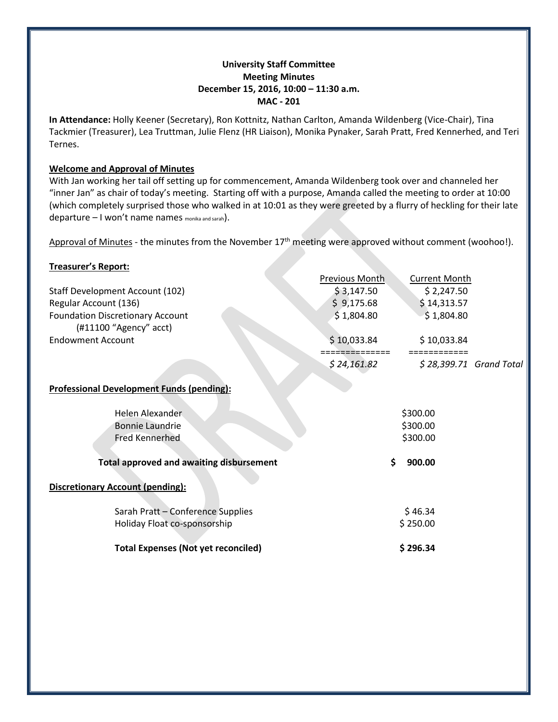## **University Staff Committee Meeting Minutes December 15, 2016, 10:00 – 11:30 a.m. MAC - 201**

**In Attendance:** Holly Keener (Secretary), Ron Kottnitz, Nathan Carlton, Amanda Wildenberg (Vice-Chair), Tina Tackmier (Treasurer), Lea Truttman, Julie Flenz (HR Liaison), Monika Pynaker, Sarah Pratt, Fred Kennerhed, and Teri Ternes.

#### **Welcome and Approval of Minutes**

With Jan working her tail off setting up for commencement, Amanda Wildenberg took over and channeled her "inner Jan" as chair of today's meeting. Starting off with a purpose, Amanda called the meeting to order at 10:00 (which completely surprised those who walked in at 10:01 as they were greeted by a flurry of heckling for their late departure – I won't name names monika and sarah).

Approval of Minutes - the minutes from the November 17<sup>th</sup> meeting were approved without comment (woohoo!).

#### **Treasurer's Report:**

|                                                  | Previous Month | <b>Current Month</b>    |  |
|--------------------------------------------------|----------------|-------------------------|--|
| Staff Development Account (102)                  | \$3,147.50     | \$2,247.50              |  |
| Regular Account (136)                            | \$9,175.68     | \$14,313.57             |  |
| <b>Foundation Discretionary Account</b>          | \$1,804.80     | \$1,804.80              |  |
| $(H11100$ "Agency" acct)                         |                |                         |  |
| <b>Endowment Account</b>                         | \$10,033.84    | \$10,033.84             |  |
|                                                  |                |                         |  |
|                                                  | \$24,161.82    | \$28,399.71 Grand Total |  |
|                                                  |                |                         |  |
| <b>Professional Development Funds (pending):</b> |                |                         |  |
| <b>Helen Alexander</b>                           |                |                         |  |
|                                                  | \$300.00       |                         |  |
| <b>Bonnie Laundrie</b>                           | \$300.00       |                         |  |
| <b>Fred Kennerhed</b>                            | \$300.00       |                         |  |
| <b>Total approved and awaiting disbursement</b>  | \$             | 900.00                  |  |
|                                                  |                |                         |  |
| <b>Discretionary Account (pending):</b>          |                |                         |  |
|                                                  |                |                         |  |
| Sarah Pratt - Conference Supplies                | \$46.34        |                         |  |
| Holiday Float co-sponsorship                     | \$250.00       |                         |  |
|                                                  |                |                         |  |
| <b>Total Expenses (Not yet reconciled)</b>       |                | \$296.34                |  |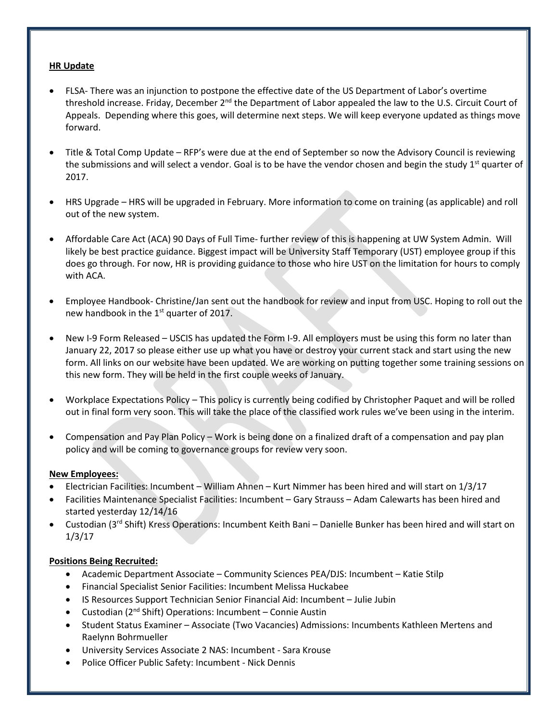## **HR Update**

- FLSA- There was an injunction to postpone the effective date of the US Department of Labor's overtime threshold increase. Friday, December 2<sup>nd</sup> the Department of Labor appealed the law to the U.S. Circuit Court of Appeals. Depending where this goes, will determine next steps. We will keep everyone updated as things move forward.
- Title & Total Comp Update RFP's were due at the end of September so now the Advisory Council is reviewing the submissions and will select a vendor. Goal is to be have the vendor chosen and begin the study 1<sup>st</sup> quarter of 2017.
- HRS Upgrade HRS will be upgraded in February. More information to come on training (as applicable) and roll out of the new system.
- Affordable Care Act (ACA) 90 Days of Full Time- further review of this is happening at UW System Admin. Will likely be best practice guidance. Biggest impact will be University Staff Temporary (UST) employee group if this does go through. For now, HR is providing guidance to those who hire UST on the limitation for hours to comply with ACA.
- Employee Handbook- Christine/Jan sent out the handbook for review and input from USC. Hoping to roll out the new handbook in the 1<sup>st</sup> quarter of 2017.
- New I-9 Form Released USCIS has updated the Form I-9. All employers must be using this form no later than January 22, 2017 so please either use up what you have or destroy your current stack and start using the new form. All links on our website have been updated. We are working on putting together some training sessions on this new form. They will be held in the first couple weeks of January.
- Workplace Expectations Policy This policy is currently being codified by Christopher Paquet and will be rolled out in final form very soon. This will take the place of the classified work rules we've been using in the interim.
- Compensation and Pay Plan Policy Work is being done on a finalized draft of a compensation and pay plan policy and will be coming to governance groups for review very soon.

## **New Employees:**

- Electrician Facilities: Incumbent William Ahnen Kurt Nimmer has been hired and will start on 1/3/17
- Facilities Maintenance Specialist Facilities: Incumbent Gary Strauss Adam Calewarts has been hired and started yesterday 12/14/16
- Custodian (3rd Shift) Kress Operations: Incumbent Keith Bani Danielle Bunker has been hired and will start on 1/3/17

# **Positions Being Recruited:**

- Academic Department Associate Community Sciences PEA/DJS: Incumbent Katie Stilp
- Financial Specialist Senior Facilities: Incumbent Melissa Huckabee
- IS Resources Support Technician Senior Financial Aid: Incumbent Julie Jubin
- Custodian (2<sup>nd</sup> Shift) Operations: Incumbent Connie Austin
- Student Status Examiner Associate (Two Vacancies) Admissions: Incumbents Kathleen Mertens and Raelynn Bohrmueller
- University Services Associate 2 NAS: Incumbent Sara Krouse
- Police Officer Public Safety: Incumbent Nick Dennis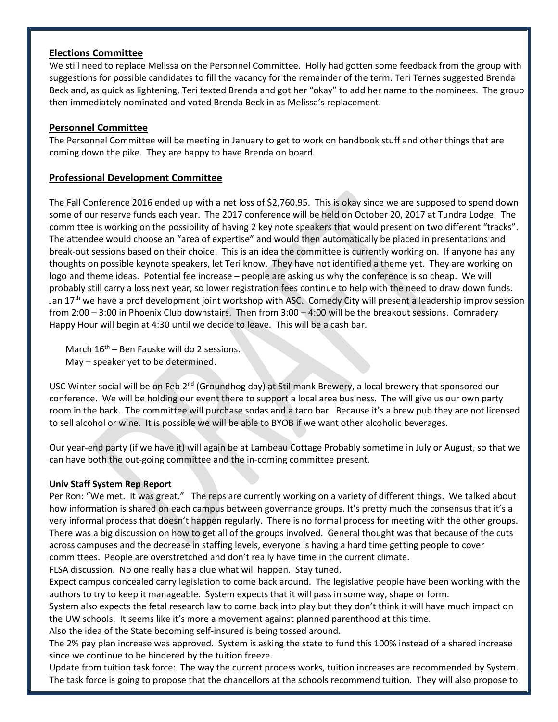## **Elections Committee**

We still need to replace Melissa on the Personnel Committee. Holly had gotten some feedback from the group with suggestions for possible candidates to fill the vacancy for the remainder of the term. Teri Ternes suggested Brenda Beck and, as quick as lightening, Teri texted Brenda and got her "okay" to add her name to the nominees. The group then immediately nominated and voted Brenda Beck in as Melissa's replacement.

# **Personnel Committee**

The Personnel Committee will be meeting in January to get to work on handbook stuff and other things that are coming down the pike. They are happy to have Brenda on board.

## **Professional Development Committee**

The Fall Conference 2016 ended up with a net loss of \$2,760.95. This is okay since we are supposed to spend down some of our reserve funds each year. The 2017 conference will be held on October 20, 2017 at Tundra Lodge. The committee is working on the possibility of having 2 key note speakers that would present on two different "tracks". The attendee would choose an "area of expertise" and would then automatically be placed in presentations and break-out sessions based on their choice. This is an idea the committee is currently working on. If anyone has any thoughts on possible keynote speakers, let Teri know. They have not identified a theme yet. They are working on logo and theme ideas. Potential fee increase – people are asking us why the conference is so cheap. We will probably still carry a loss next year, so lower registration fees continue to help with the need to draw down funds. Jan 17<sup>th</sup> we have a prof development joint workshop with ASC. Comedy City will present a leadership improv session from 2:00 – 3:00 in Phoenix Club downstairs. Then from 3:00 – 4:00 will be the breakout sessions. Comradery Happy Hour will begin at 4:30 until we decide to leave. This will be a cash bar.

March  $16<sup>th</sup>$  – Ben Fauske will do 2 sessions. May – speaker yet to be determined.

USC Winter social will be on Feb 2<sup>nd</sup> (Groundhog day) at Stillmank Brewery, a local brewery that sponsored our conference. We will be holding our event there to support a local area business. The will give us our own party room in the back. The committee will purchase sodas and a taco bar. Because it's a brew pub they are not licensed to sell alcohol or wine. It is possible we will be able to BYOB if we want other alcoholic beverages.

Our year-end party (if we have it) will again be at Lambeau Cottage Probably sometime in July or August, so that we can have both the out-going committee and the in-coming committee present.

## **Univ Staff System Rep Report**

Per Ron: "We met. It was great." The reps are currently working on a variety of different things. We talked about how information is shared on each campus between governance groups. It's pretty much the consensus that it's a very informal process that doesn't happen regularly. There is no formal process for meeting with the other groups. There was a big discussion on how to get all of the groups involved. General thought was that because of the cuts across campuses and the decrease in staffing levels, everyone is having a hard time getting people to cover committees. People are overstretched and don't really have time in the current climate.

FLSA discussion. No one really has a clue what will happen. Stay tuned.

Expect campus concealed carry legislation to come back around. The legislative people have been working with the authors to try to keep it manageable. System expects that it will pass in some way, shape or form.

System also expects the fetal research law to come back into play but they don't think it will have much impact on the UW schools. It seems like it's more a movement against planned parenthood at this time.

Also the idea of the State becoming self-insured is being tossed around.

The 2% pay plan increase was approved. System is asking the state to fund this 100% instead of a shared increase since we continue to be hindered by the tuition freeze.

Update from tuition task force: The way the current process works, tuition increases are recommended by System. The task force is going to propose that the chancellors at the schools recommend tuition. They will also propose to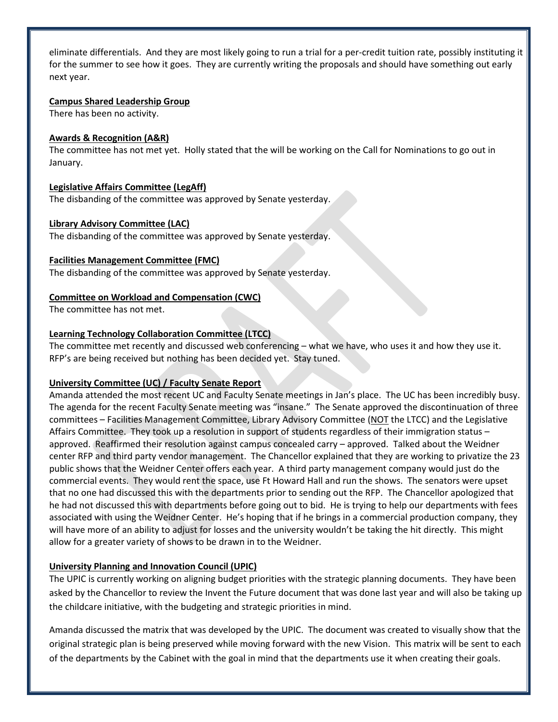eliminate differentials. And they are most likely going to run a trial for a per-credit tuition rate, possibly instituting it for the summer to see how it goes. They are currently writing the proposals and should have something out early next year.

#### **Campus Shared Leadership Group**

There has been no activity.

#### **Awards & Recognition (A&R)**

The committee has not met yet. Holly stated that the will be working on the Call for Nominations to go out in January.

#### **Legislative Affairs Committee (LegAff)**

The disbanding of the committee was approved by Senate yesterday.

## **Library Advisory Committee (LAC)**

The disbanding of the committee was approved by Senate yesterday.

#### **Facilities Management Committee (FMC)**

The disbanding of the committee was approved by Senate yesterday.

#### **Committee on Workload and Compensation (CWC)**

The committee has not met.

## **Learning Technology Collaboration Committee (LTCC)**

The committee met recently and discussed web conferencing – what we have, who uses it and how they use it. RFP's are being received but nothing has been decided yet. Stay tuned.

## **University Committee (UC) / Faculty Senate Report**

Amanda attended the most recent UC and Faculty Senate meetings in Jan's place. The UC has been incredibly busy. The agenda for the recent Faculty Senate meeting was "insane." The Senate approved the discontinuation of three committees – Facilities Management Committee, Library Advisory Committee (NOT the LTCC) and the Legislative Affairs Committee. They took up a resolution in support of students regardless of their immigration status – approved. Reaffirmed their resolution against campus concealed carry – approved. Talked about the Weidner center RFP and third party vendor management. The Chancellor explained that they are working to privatize the 23 public shows that the Weidner Center offers each year. A third party management company would just do the commercial events. They would rent the space, use Ft Howard Hall and run the shows. The senators were upset that no one had discussed this with the departments prior to sending out the RFP. The Chancellor apologized that he had not discussed this with departments before going out to bid. He is trying to help our departments with fees associated with using the Weidner Center. He's hoping that if he brings in a commercial production company, they will have more of an ability to adjust for losses and the university wouldn't be taking the hit directly. This might allow for a greater variety of shows to be drawn in to the Weidner.

## **University Planning and Innovation Council (UPIC)**

The UPIC is currently working on aligning budget priorities with the strategic planning documents. They have been asked by the Chancellor to review the Invent the Future document that was done last year and will also be taking up the childcare initiative, with the budgeting and strategic priorities in mind.

Amanda discussed the matrix that was developed by the UPIC. The document was created to visually show that the original strategic plan is being preserved while moving forward with the new Vision. This matrix will be sent to each of the departments by the Cabinet with the goal in mind that the departments use it when creating their goals.